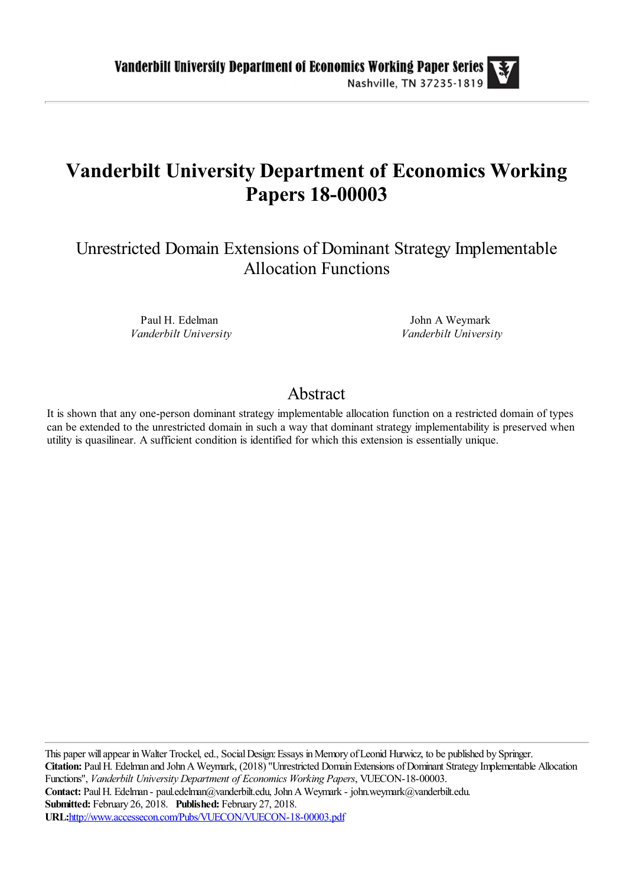# **Vanderbilt University Department of Economics Working Papers 18-00003**

Unrestricted Domain Extensions of Dominant Strategy Implementable Allocation Functions

> Paul H. Edelman *Vanderbilt University*

John A Weymark *Vanderbilt University*

# Abstract

It is shown that any one-person dominant strategy implementable allocation function on a restricted domain of types can be extended to the unrestricted domain in such a way that dominant strategy implementability is preserved when utility is quasilinear. A sufficient condition is identified for which this extension is essentially unique.

This paper will appear in Walter Trockel, ed., Social Design: Essays in Memory of Leonid Hurwicz, to be published by Springer. **Citation:** Paul H. Edelman and John A Weymark, (2018) ''Unrestricted Domain Extensions of Dominant Strategy Implementable Allocation Functions'', *Vanderbilt University Department of Economics Working Papers*, VUECON-18-00003. Contact: Paul H. Edelman - paul.edelman@vanderbilt.edu, John A Weymark - john.weymark@vanderbilt.edu. **Submitted:** February 26, 2018. **Published:** February 27, 2018. **URL:**<http://www.accessecon.com/Pubs/VUECON/VUECON-18-00003.pdf>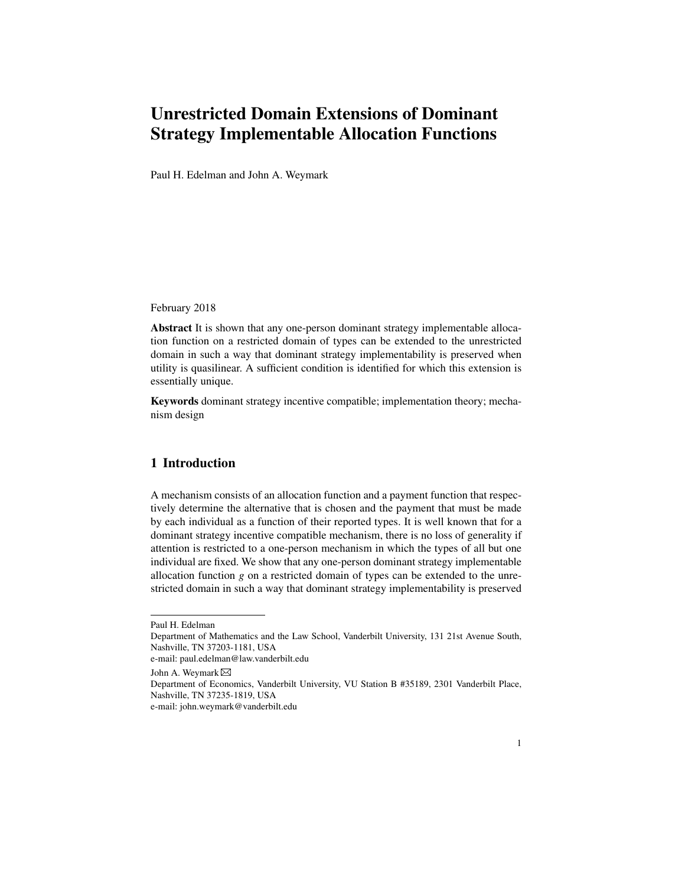# Unrestricted Domain Extensions of Dominant Strategy Implementable Allocation Functions

Paul H. Edelman and John A. Weymark

February 2018

Abstract It is shown that any one-person dominant strategy implementable allocation function on a restricted domain of types can be extended to the unrestricted domain in such a way that dominant strategy implementability is preserved when utility is quasilinear. A sufficient condition is identified for which this extension is essentially unique.

Keywords dominant strategy incentive compatible; implementation theory; mechanism design

# 1 Introduction

A mechanism consists of an allocation function and a payment function that respectively determine the alternative that is chosen and the payment that must be made by each individual as a function of their reported types. It is well known that for a dominant strategy incentive compatible mechanism, there is no loss of generality if attention is restricted to a one-person mechanism in which the types of all but one individual are fixed. We show that any one-person dominant strategy implementable allocation function *g* on a restricted domain of types can be extended to the unrestricted domain in such a way that dominant strategy implementability is preserved

John A. Weymark

Paul H. Edelman

Department of Mathematics and the Law School, Vanderbilt University, 131 21st Avenue South, Nashville, TN 37203-1181, USA

e-mail: paul.edelman@law.vanderbilt.edu

Department of Economics, Vanderbilt University, VU Station B #35189, 2301 Vanderbilt Place, Nashville, TN 37235-1819, USA

e-mail: john.weymark@vanderbilt.edu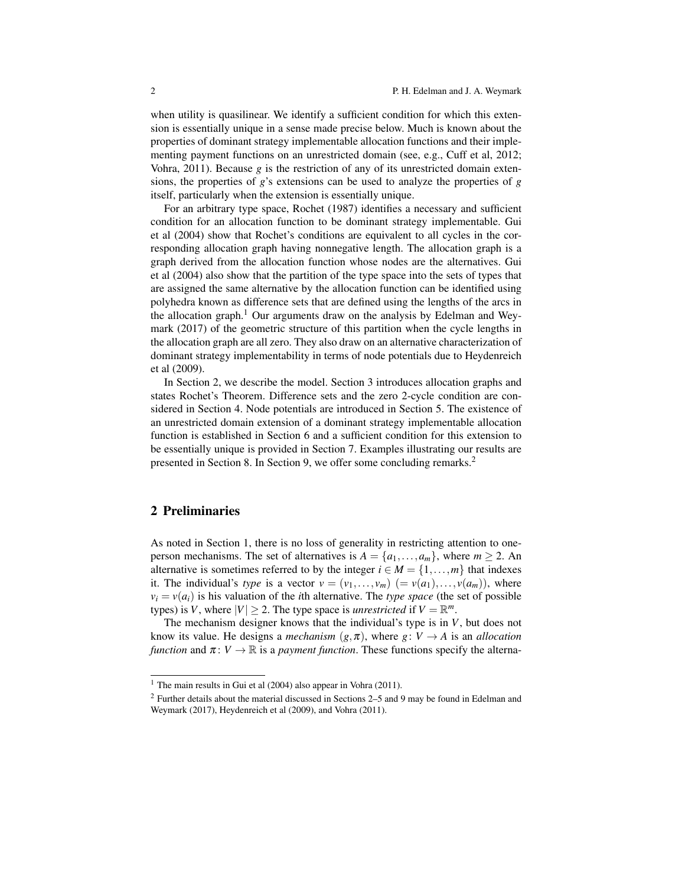when utility is quasilinear. We identify a sufficient condition for which this extension is essentially unique in a sense made precise below. Much is known about the properties of dominant strategy implementable allocation functions and their implementing payment functions on an unrestricted domain (see, e.g., Cuff et al, 2012; Vohra, 2011). Because *g* is the restriction of any of its unrestricted domain extensions, the properties of *g*'s extensions can be used to analyze the properties of *g* itself, particularly when the extension is essentially unique.

For an arbitrary type space, Rochet (1987) identifies a necessary and sufficient condition for an allocation function to be dominant strategy implementable. Gui et al (2004) show that Rochet's conditions are equivalent to all cycles in the corresponding allocation graph having nonnegative length. The allocation graph is a graph derived from the allocation function whose nodes are the alternatives. Gui et al (2004) also show that the partition of the type space into the sets of types that are assigned the same alternative by the allocation function can be identified using polyhedra known as difference sets that are defined using the lengths of the arcs in the allocation graph.<sup>1</sup> Our arguments draw on the analysis by Edelman and Weymark (2017) of the geometric structure of this partition when the cycle lengths in the allocation graph are all zero. They also draw on an alternative characterization of dominant strategy implementability in terms of node potentials due to Heydenreich et al (2009).

In Section 2, we describe the model. Section 3 introduces allocation graphs and states Rochet's Theorem. Difference sets and the zero 2-cycle condition are considered in Section 4. Node potentials are introduced in Section 5. The existence of an unrestricted domain extension of a dominant strategy implementable allocation function is established in Section 6 and a sufficient condition for this extension to be essentially unique is provided in Section 7. Examples illustrating our results are presented in Section 8. In Section 9, we offer some concluding remarks.<sup>2</sup>

## 2 Preliminaries

As noted in Section 1, there is no loss of generality in restricting attention to oneperson mechanisms. The set of alternatives is  $A = \{a_1, \ldots, a_m\}$ , where  $m \ge 2$ . An alternative is sometimes referred to by the integer  $i \in M = \{1, \ldots, m\}$  that indexes it. The individual's *type* is a vector  $v = (v_1, \ldots, v_m)$   $(= v(a_1), \ldots, v(a_m))$ , where  $v_i = v(a_i)$  is his valuation of the *i*th alternative. The *type space* (the set of possible types) is *V*, where  $|V| \ge 2$ . The type space is *unrestricted* if  $V = \mathbb{R}^m$ .

The mechanism designer knows that the individual's type is in *V*, but does not know its value. He designs a *mechanism*  $(g, \pi)$ , where  $g: V \to A$  is an *allocation function* and  $\pi: V \to \mathbb{R}$  is a *payment function*. These functions specify the alterna-

<sup>&</sup>lt;sup>1</sup> The main results in Gui et al (2004) also appear in Vohra (2011).

 $2$  Further details about the material discussed in Sections 2–5 and 9 may be found in Edelman and Weymark (2017), Heydenreich et al (2009), and Vohra (2011).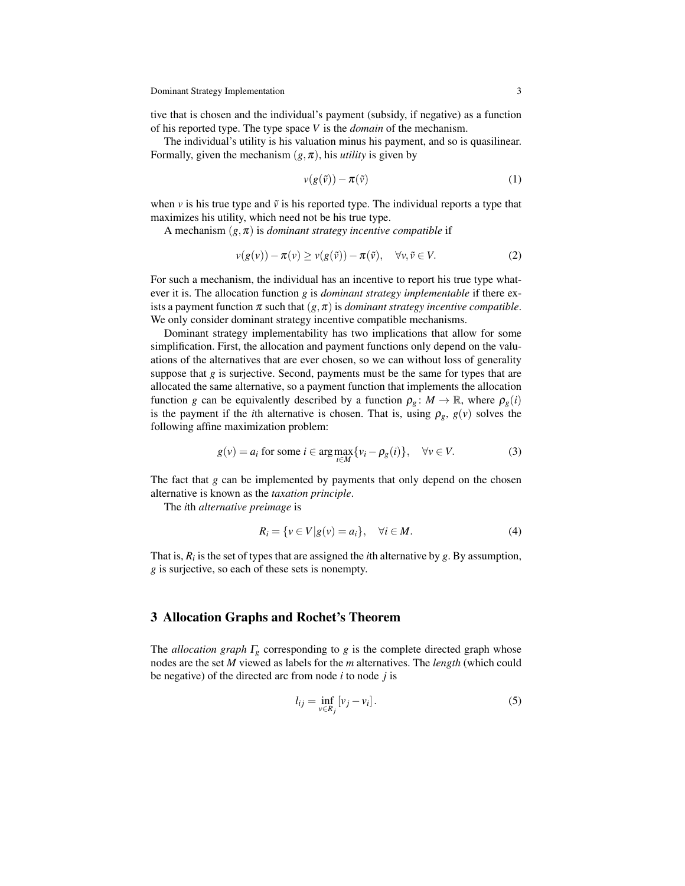tive that is chosen and the individual's payment (subsidy, if negative) as a function of his reported type. The type space *V* is the *domain* of the mechanism.

The individual's utility is his valuation minus his payment, and so is quasilinear. Formally, given the mechanism  $(g, \pi)$ , his *utility* is given by

$$
v(g(\tilde{v})) - \pi(\tilde{v})
$$
 (1)

when  $\nu$  is his true type and  $\tilde{\nu}$  is his reported type. The individual reports a type that maximizes his utility, which need not be his true type.

A mechanism  $(g, \pi)$  is *dominant strategy incentive compatible* if

$$
v(g(v)) - \pi(v) \ge v(g(\tilde{v})) - \pi(\tilde{v}), \quad \forall v, \tilde{v} \in V.
$$
 (2)

For such a mechanism, the individual has an incentive to report his true type whatever it is. The allocation function *g* is *dominant strategy implementable* if there exists a payment function  $\pi$  such that  $(g, \pi)$  is *dominant strategy incentive compatible*. We only consider dominant strategy incentive compatible mechanisms.

Dominant strategy implementability has two implications that allow for some simplification. First, the allocation and payment functions only depend on the valuations of the alternatives that are ever chosen, so we can without loss of generality suppose that  $g$  is surjective. Second, payments must be the same for types that are allocated the same alternative, so a payment function that implements the allocation function *g* can be equivalently described by a function  $\rho_g : M \to \mathbb{R}$ , where  $\rho_g(i)$ is the payment if the *i*th alternative is chosen. That is, using  $\rho_g$ ,  $g(v)$  solves the following affine maximization problem:

$$
g(v) = a_i \text{ for some } i \in \arg \max_{i \in M} \{v_i - \rho_g(i)\}, \quad \forall v \in V. \tag{3}
$$

The fact that *g* can be implemented by payments that only depend on the chosen alternative is known as the *taxation principle*.

The *i*th *alternative preimage* is

$$
R_i = \{ v \in V | g(v) = a_i \}, \quad \forall i \in M. \tag{4}
$$

That is,  $R_i$  is the set of types that are assigned the *i*th alternative by  $g$ . By assumption, *g* is surjective, so each of these sets is nonempty.

#### 3 Allocation Graphs and Rochet's Theorem

The *allocation graph* Γ*<sup>g</sup>* corresponding to *g* is the complete directed graph whose nodes are the set *M* viewed as labels for the *m* alternatives. The *length* (which could be negative) of the directed arc from node *i* to node *j* is

$$
l_{ij} = \inf_{v \in R_j} [v_j - v_i].
$$
\n(5)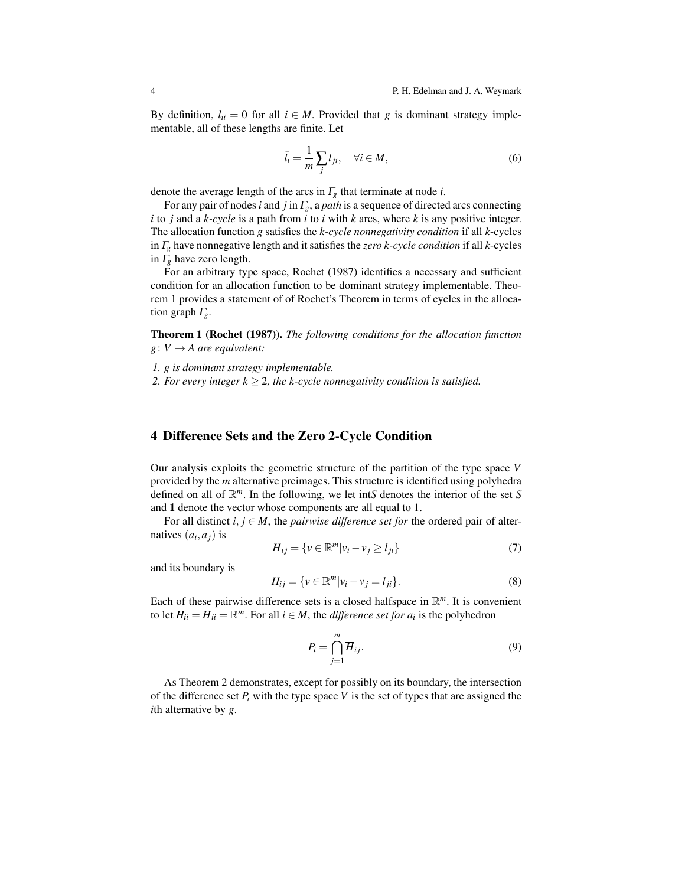By definition,  $l_{ii} = 0$  for all  $i \in M$ . Provided that *g* is dominant strategy implementable, all of these lengths are finite. Let

$$
\bar{l}_i = \frac{1}{m} \sum_j l_{ji}, \quad \forall i \in M,
$$
\n(6)

denote the average length of the arcs in Γ*<sup>g</sup>* that terminate at node *i*.

For any pair of nodes*i* and *j* in Γ*g*, a *path* is a sequence of directed arcs connecting *i* to *j* and a *k-cycle* is a path from *i* to *i* with *k* arcs, where *k* is any positive integer. The allocation function *g* satisfies the *k-cycle nonnegativity condition* if all *k*-cycles in Γ*<sup>g</sup>* have nonnegative length and it satisfies the *zero k-cycle condition* if all *k*-cycles in Γ*<sup>g</sup>* have zero length.

For an arbitrary type space, Rochet (1987) identifies a necessary and sufficient condition for an allocation function to be dominant strategy implementable. Theorem 1 provides a statement of of Rochet's Theorem in terms of cycles in the allocation graph Γ*g*.

Theorem 1 (Rochet (1987)). *The following conditions for the allocation function*  $g: V \rightarrow A$  *are equivalent:* 

*1. g is dominant strategy implementable.*

*2. For every integer*  $k \geq 2$ *, the k-cycle nonnegativity condition is satisfied.* 

#### 4 Difference Sets and the Zero 2-Cycle Condition

Our analysis exploits the geometric structure of the partition of the type space *V* provided by the *m* alternative preimages. This structure is identified using polyhedra defined on all of R *<sup>m</sup>*. In the following, we let int*S* denotes the interior of the set *S* and 1 denote the vector whose components are all equal to 1.

For all distinct  $i, j \in M$ , the *pairwise difference set for* the ordered pair of alternatives  $(a_i, a_j)$  is

$$
\overline{H}_{ij} = \{ v \in \mathbb{R}^m | v_i - v_j \ge l_{ji} \}
$$
\n<sup>(7)</sup>

and its boundary is

$$
H_{ij} = \{ v \in \mathbb{R}^m | v_i - v_j = l_{ji} \}.
$$
 (8)

Each of these pairwise difference sets is a closed halfspace in R *<sup>m</sup>*. It is convenient to let  $H_{ii} = \overline{H}_{ii} = \mathbb{R}^m$ . For all  $i \in M$ , the *difference set for*  $a_i$  is the polyhedron

$$
P_i = \bigcap_{j=1}^{m} \overline{H}_{ij}.
$$
\n(9)

As Theorem 2 demonstrates, except for possibly on its boundary, the intersection of the difference set  $P_i$  with the type space V is the set of types that are assigned the *i*th alternative by *g*.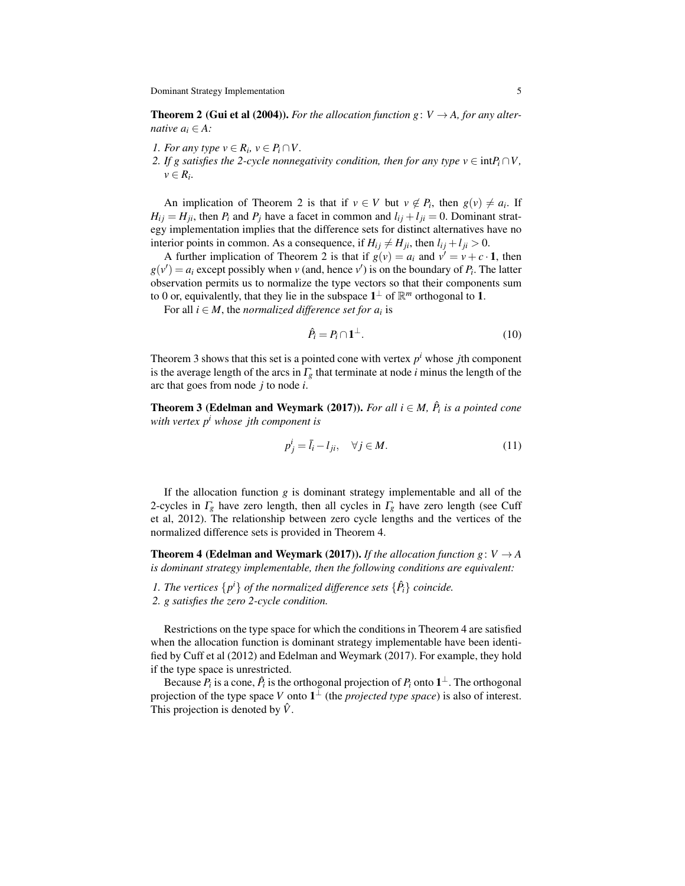Dominant Strategy Implementation 5

**Theorem 2 (Gui et al (2004)).** *For the allocation function g*:  $V \rightarrow A$ , *for any alternative*  $a_i \in A$ *:* 

*1. For any type*  $v \in R_i$ ,  $v \in P_i \cap V$ .

*2. If g satisfies the 2-cycle nonnegativity condition, then for any type v*  $\in$  int $P_i \cap V$ ,  $v \in R_i$ .

An implication of Theorem 2 is that if  $v \in V$  but  $v \notin P_i$ , then  $g(v) \neq a_i$ . If  $H_{ij} = H_{ji}$ , then  $P_i$  and  $P_j$  have a facet in common and  $l_{ij} + l_{ji} = 0$ . Dominant strategy implementation implies that the difference sets for distinct alternatives have no interior points in common. As a consequence, if  $H_{ij} \neq H_{ji}$ , then  $l_{ij} + l_{ji} > 0$ .

A further implication of Theorem 2 is that if  $g(v) = a_i$  and  $v' = v + c \cdot 1$ , then  $g(v') = a_i$  except possibly when *v* (and, hence *v*<sup> $\prime$ </sup>) is on the boundary of  $P_i$ . The latter observation permits us to normalize the type vectors so that their components sum to 0 or, equivalently, that they lie in the subspace  $1^{\perp}$  of  $\mathbb{R}^m$  orthogonal to 1.

For all  $i \in M$ , the *normalized difference set for*  $a_i$  is

$$
\hat{P}_i = P_i \cap \mathbf{1}^\perp. \tag{10}
$$

Theorem 3 shows that this set is a pointed cone with vertex  $p<sup>i</sup>$  whose *j*th component is the average length of the arcs in  $\Gamma_g$  that terminate at node *i* minus the length of the arc that goes from node *j* to node *i*.

**Theorem 3 (Edelman and Weymark (2017)).** *For all*  $i \in M$ ,  $\hat{P}_i$  is a pointed cone *with vertex p<sup>i</sup> whose jth component is*

$$
p_j^i = \bar{l}_i - l_{ji}, \quad \forall j \in M. \tag{11}
$$

If the allocation function *g* is dominant strategy implementable and all of the 2-cycles in  $\Gamma_g$  have zero length, then all cycles in  $\Gamma_g$  have zero length (see Cuff et al, 2012). The relationship between zero cycle lengths and the vertices of the normalized difference sets is provided in Theorem 4.

**Theorem 4 (Edelman and Weymark (2017)).** *If the allocation function g*:  $V \rightarrow A$ *is dominant strategy implementable, then the following conditions are equivalent:*

*1. The vertices*  $\{p^i\}$  *of the normalized difference sets*  $\{\hat{P}_i\}$  *coincide.* 

*2. g satisfies the zero 2-cycle condition.*

Restrictions on the type space for which the conditions in Theorem 4 are satisfied when the allocation function is dominant strategy implementable have been identified by Cuff et al (2012) and Edelman and Weymark (2017). For example, they hold if the type space is unrestricted.

Because  $P_i$  is a cone,  $\hat{P}_i$  is the orthogonal projection of  $P_i$  onto  $\mathbf{1}^\perp$ . The orthogonal projection of the type space *V* onto  $1^{\perp}$  (the *projected type space*) is also of interest. This projection is denoted by  $\hat{V}$ .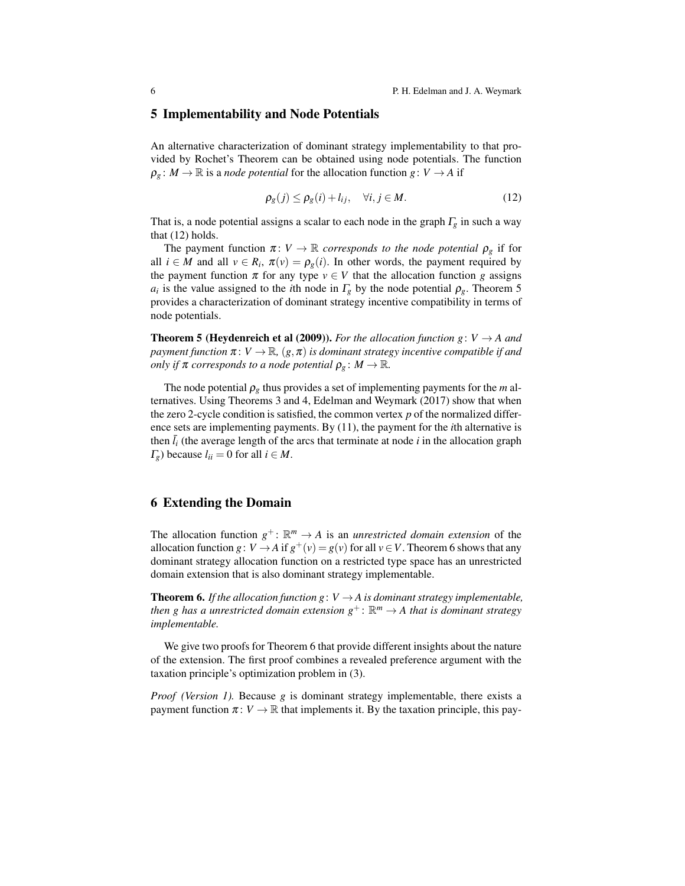#### 5 Implementability and Node Potentials

An alternative characterization of dominant strategy implementability to that provided by Rochet's Theorem can be obtained using node potentials. The function  $\rho_g$ :  $M \to \mathbb{R}$  is a *node potential* for the allocation function  $g: V \to A$  if

$$
\rho_g(j) \le \rho_g(i) + l_{ij}, \quad \forall i, j \in M. \tag{12}
$$

That is, a node potential assigns a scalar to each node in the graph  $\Gamma_g$  in such a way that (12) holds.

The payment function  $\pi: V \to \mathbb{R}$  *corresponds to the node potential*  $\rho_{g}$  if for all  $i \in M$  and all  $v \in R_i$ ,  $\pi(v) = \rho_g(i)$ . In other words, the payment required by the payment function  $\pi$  for any type  $v \in V$  that the allocation function *g* assigns *a*<sub>*i*</sub> is the value assigned to the *i*th node in  $\Gamma_g$  by the node potential  $\rho_g$ . Theorem 5 provides a characterization of dominant strategy incentive compatibility in terms of node potentials.

**Theorem 5 (Heydenreich et al (2009)).** *For the allocation function g*:  $V \rightarrow A$  *and payment function*  $\pi: V \to \mathbb{R}$ ,  $(g, \pi)$  *is dominant strategy incentive compatible if and only if*  $\pi$  *corresponds to a node potential*  $\rho_g$  :  $M \to \mathbb{R}$ *.* 

The node potential  $\rho_g$  thus provides a set of implementing payments for the *m* alternatives. Using Theorems 3 and 4, Edelman and Weymark (2017) show that when the zero 2-cycle condition is satisfied, the common vertex *p* of the normalized difference sets are implementing payments. By (11), the payment for the *i*th alternative is then  $\bar{l}_i$  (the average length of the arcs that terminate at node *i* in the allocation graph  $\Gamma_g$ ) because  $l_{ii} = 0$  for all  $i \in M$ .

#### 6 Extending the Domain

The allocation function  $g^{\dagger}$ :  $\mathbb{R}^m \to A$  is an *unrestricted domain extension* of the allocation function *g*:  $V \rightarrow A$  if  $g^+(v) = g(v)$  for all  $v \in V$ . Theorem 6 shows that any dominant strategy allocation function on a restricted type space has an unrestricted domain extension that is also dominant strategy implementable.

**Theorem 6.** *If the allocation function g*:  $V \rightarrow A$  *is dominant strategy implementable, then g has a unrestricted domain extension*  $g^{\dagger}$ :  $\mathbb{R}^m \to A$  *that is dominant strategy implementable.*

We give two proofs for Theorem 6 that provide different insights about the nature of the extension. The first proof combines a revealed preference argument with the taxation principle's optimization problem in (3).

*Proof (Version 1).* Because *g* is dominant strategy implementable, there exists a payment function  $\pi: V \to \mathbb{R}$  that implements it. By the taxation principle, this pay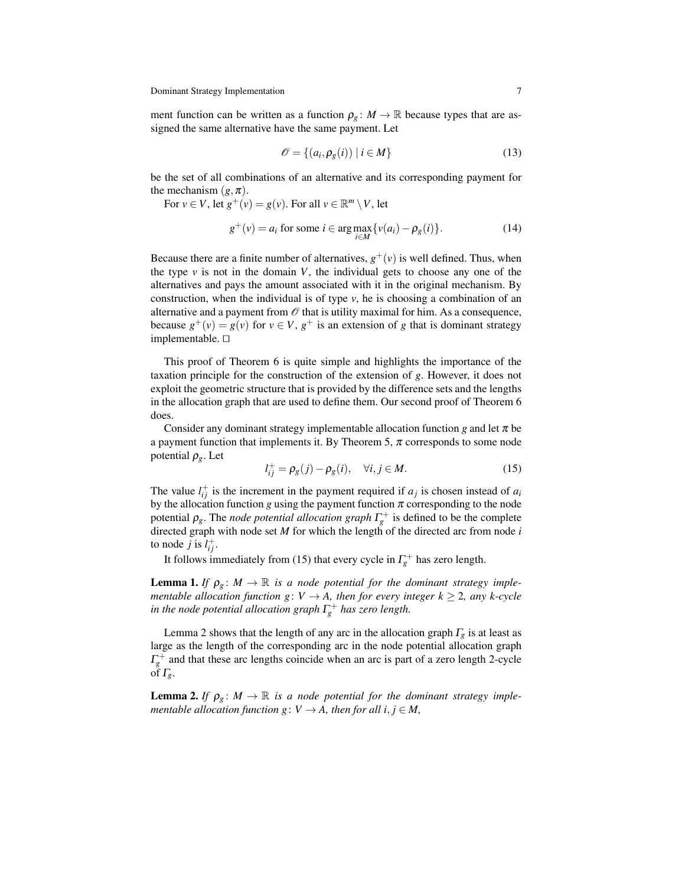Dominant Strategy Implementation 7

ment function can be written as a function  $\rho_g : M \to \mathbb{R}$  because types that are assigned the same alternative have the same payment. Let

$$
\mathcal{O} = \{(a_i, \rho_g(i)) \mid i \in M\}
$$
\n(13)

be the set of all combinations of an alternative and its corresponding payment for the mechanism  $(g, \pi)$ .

For 
$$
v \in V
$$
, let  $g^+(v) = g(v)$ . For all  $v \in \mathbb{R}^m \setminus V$ , let  
\n
$$
g^+(v) = a_i \text{ for some } i \in \arg\max_{i \in M} \{v(a_i) - \rho_g(i)\}.
$$
\n(14)

Because there are a finite number of alternatives,  $g^+(v)$  is well defined. Thus, when the type  $v$  is not in the domain  $V$ , the individual gets to choose any one of the alternatives and pays the amount associated with it in the original mechanism. By construction, when the individual is of type  $\nu$ , he is choosing a combination of an alternative and a payment from  $\mathcal O$  that is utility maximal for him. As a consequence, because  $g^+(v) = g(v)$  for  $v \in V$ ,  $g^+$  is an extension of *g* that is dominant strategy implementable. ⊓⊔

This proof of Theorem 6 is quite simple and highlights the importance of the taxation principle for the construction of the extension of *g*. However, it does not exploit the geometric structure that is provided by the difference sets and the lengths in the allocation graph that are used to define them. Our second proof of Theorem 6 does.

Consider any dominant strategy implementable allocation function *g* and let  $\pi$  be a payment function that implements it. By Theorem 5,  $\pi$  corresponds to some node potential ρ*g*. Let

$$
l_{ij}^+ = \rho_g(j) - \rho_g(i), \quad \forall i, j \in M.
$$
 (15)

The value  $l_{ij}^{\dagger}$  is the increment in the payment required if  $a_j$  is chosen instead of  $a_i$ by the allocation function *g* using the payment function  $\pi$  corresponding to the node potential  $\rho_{g}$ . The *node potential allocation graph*  $\Gamma_{g}^{+}$  is defined to be the complete directed graph with node set *M* for which the length of the directed arc from node *i* to node *j* is  $l_{ij}^+$ .

It follows immediately from (15) that every cycle in  $\Gamma_g^+$  has zero length.

**Lemma 1.** *If*  $\rho_g$ :  $M \to \mathbb{R}$  *is a node potential for the dominant strategy implementable allocation function g:*  $V \rightarrow A$ , then for every integer  $k \geq 2$ , any k-cycle *in the node potential allocation graph*  $\Gamma_{g}^{+}$  *has zero length.* 

Lemma 2 shows that the length of any arc in the allocation graph  $\Gamma_g$  is at least as large as the length of the corresponding arc in the node potential allocation graph  $\Gamma_g^+$  and that these arc lengths coincide when an arc is part of a zero length 2-cycle of  $\Gamma_{\varrho}$ .

**Lemma 2.** If  $\rho_g: M \to \mathbb{R}$  is a node potential for the dominant strategy imple*mentable allocation function g*:  $V \rightarrow A$ *, then for all i, j*  $\in M$ *,*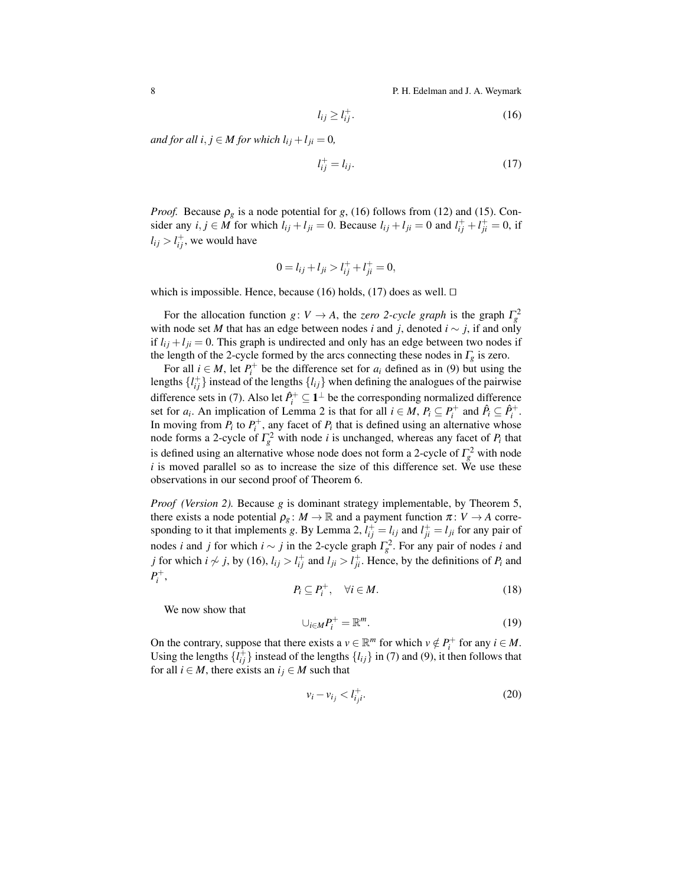8 **P. H. Edelman and J. A. Weymark** 

$$
l_{ij} \ge l_{ij}^+.\tag{16}
$$

*and for all i*,  $j \in M$  *for which*  $l_{ij} + l_{ji} = 0$ *,* 

$$
l_{ij}^+ = l_{ij}.\tag{17}
$$

*Proof.* Because  $\rho_g$  is a node potential for *g*, (16) follows from (12) and (15). Consider any  $i, j \in M$  for which  $l_{ij} + l_{ji} = 0$ . Because  $l_{ij} + l_{ji} = 0$  and  $l_{ij}^+ + l_{ji}^+ = 0$ , if  $l_{ij} > l_{ij}^+$ , we would have

$$
0 = l_{ij} + l_{ji} > l_{ij}^{+} + l_{ji}^{+} = 0,
$$

which is impossible. Hence, because (16) holds, (17) does as well.  $\Box$ 

For the allocation function *g*:  $V \rightarrow A$ , the *zero* 2-*cycle graph* is the graph  $\Gamma_g^2$ with node set *M* that has an edge between nodes *i* and *j*, denoted  $i \sim j$ , if and only if  $l_{ij} + l_{ji} = 0$ . This graph is undirected and only has an edge between two nodes if the length of the 2-cycle formed by the arcs connecting these nodes in  $\Gamma_g$  is zero.

For all  $i \in M$ , let  $P_i^+$  be the difference set for  $a_i$  defined as in (9) but using the lengths  $\{l_{ij}^+\}$  instead of the lengths  $\{l_{ij}\}\$  when defining the analogues of the pairwise difference sets in (7). Also let  $\hat{P}_i^+ \subseteq 1^\perp$  be the corresponding normalized difference set for  $a_i$ . An implication of Lemma 2 is that for all  $i \in M$ ,  $P_i \subseteq P_i^+$  and  $\hat{P}_i \subseteq \hat{P}_i^+$ . In moving from  $P_i$  to  $P_i^+$ , any facet of  $P_i$  that is defined using an alternative whose node forms a 2-cycle of  $\Gamma_g^2$  with node *i* is unchanged, whereas any facet of  $P_i$  that is defined using an alternative whose node does not form a 2-cycle of  $\Gamma_g^2$  with node *i* is moved parallel so as to increase the size of this difference set. We use these observations in our second proof of Theorem 6.

*Proof (Version 2).* Because *g* is dominant strategy implementable, by Theorem 5, there exists a node potential  $\rho_g: M \to \mathbb{R}$  and a payment function  $\pi: V \to A$  corresponding to it that implements *g*. By Lemma 2,  $l_{ij}^+ = l_{ij}$  and  $l_{ji}^+ = l_{ji}$  for any pair of nodes *i* and *j* for which  $i \sim j$  in the 2-cycle graph  $\Gamma_g^2$ . For any pair of nodes *i* and *j* for which *i*  $\not\sim$  *j*, by (16), *l*<sub>*ij*</sub> > *l*<sub>*i*</sub><sup> $\vdots$ </sup> and *l<sub>ji</sub>* > *l*<sub>*j*<sup> $\vdots$ </sup>, Hence, by the definitions of *P*<sup>*i*</sup> and</sub>  $P_i^+$ ,

$$
P_i \subseteq P_i^+, \quad \forall i \in M. \tag{18}
$$

We now show that

$$
\cup_{i \in M} P_i^+ = \mathbb{R}^m. \tag{19}
$$

On the contrary, suppose that there exists a  $v \in \mathbb{R}^m$  for which  $v \notin P_i^+$  for any  $i \in M$ . Using the lengths  $\{l_{ij}^+\}$  instead of the lengths  $\{l_{ij}\}\$ in (7) and (9), it then follows that for all *i*  $\in$  *M*, there exists an *i*<sub>*j*</sub>  $\in$  *M* such that

$$
v_i - v_{i_j} < l_{ij}^+ \tag{20}
$$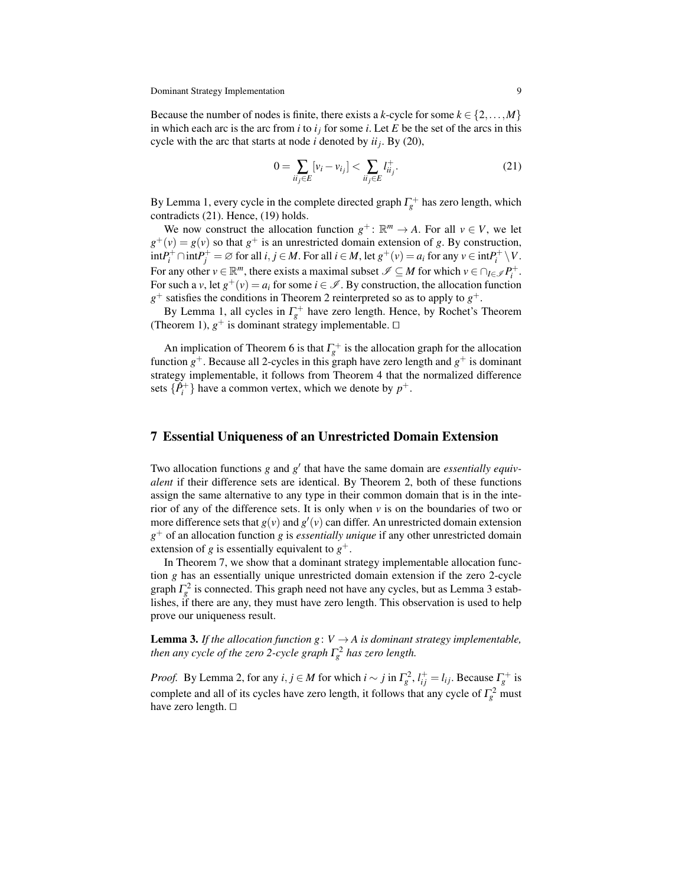Because the number of nodes is finite, there exists a *k*-cycle for some  $k \in \{2, \ldots, M\}$ in which each arc is the arc from *i* to  $i_j$  for some *i*. Let *E* be the set of the arcs in this cycle with the arc that starts at node *i* denoted by *ii<sup>j</sup>* . By (20),

$$
0 = \sum_{ii_j \in E} [v_i - v_{i_j}] < \sum_{ii_j \in E} l_{ii_j}^+.
$$
\n(21)

By Lemma 1, every cycle in the complete directed graph  $\Gamma_g^+$  has zero length, which contradicts (21). Hence, (19) holds.

We now construct the allocation function  $g^+$ :  $\mathbb{R}^m \to A$ . For all  $v \in V$ , we let  $g^+(v) = g(v)$  so that  $g^+$  is an unrestricted domain extension of *g*. By construction,  $\int \int_{i}^{+}$  ∩  $\int$  int $P_{j}^{+}$  = ∅ for all *i*, *j* ∈ *M*. For all *i* ∈ *M*, let  $g^{+}(v)$  =  $a_{i}$  for any  $v \in \int_{i}^{+} \setminus V$ . For any other  $v \in \mathbb{R}^m$ , there exists a maximal subset  $\mathscr{I} \subseteq M$  for which  $v \in \bigcap_{I \in \mathscr{I}} P_i^+$ . For such a *v*, let  $g^+(v) = a_i$  for some  $i \in \mathcal{I}$ . By construction, the allocation function  $g^+$  satisfies the conditions in Theorem 2 reinterpreted so as to apply to  $g^+$ .

By Lemma 1, all cycles in  $\Gamma_g^+$  have zero length. Hence, by Rochet's Theorem (Theorem 1),  $g^+$  is dominant strategy implementable.  $\Box$ 

An implication of Theorem 6 is that  $\Gamma_g^+$  is the allocation graph for the allocation function  $g^+$ . Because all 2-cycles in this graph have zero length and  $g^+$  is dominant strategy implementable, it follows from Theorem 4 that the normalized difference sets  $\{\hat{P}_i^+\}$  have a common vertex, which we denote by  $p^+$ .

#### 7 Essential Uniqueness of an Unrestricted Domain Extension

Two allocation functions *g* and *g*<sup>'</sup> that have the same domain are *essentially equivalent* if their difference sets are identical. By Theorem 2, both of these functions assign the same alternative to any type in their common domain that is in the interior of any of the difference sets. It is only when *v* is on the boundaries of two or more difference sets that  $g(v)$  and  $g'(v)$  can differ. An unrestricted domain extension *g* <sup>+</sup> of an allocation function *g* is *essentially unique* if any other unrestricted domain extension of *g* is essentially equivalent to  $g^+$ .

In Theorem 7, we show that a dominant strategy implementable allocation function *g* has an essentially unique unrestricted domain extension if the zero 2-cycle graph  $\Gamma_g^2$  is connected. This graph need not have any cycles, but as Lemma 3 establishes, if there are any, they must have zero length. This observation is used to help prove our uniqueness result.

**Lemma 3.** If the allocation function  $g: V \to A$  is dominant strategy implementable, *then any cycle of the zero 2-cycle graph*  $\Gamma_g^2$  *has zero length.* 

*Proof.* By Lemma 2, for any  $i, j \in M$  for which  $i \sim j$  in  $\Gamma_g^2$ ,  $l_{ij}^+ = l_{ij}$ . Because  $\Gamma_g^+$  is complete and all of its cycles have zero length, it follows that any cycle of  $\Gamma_g^2$  must have zero length. ⊓⊔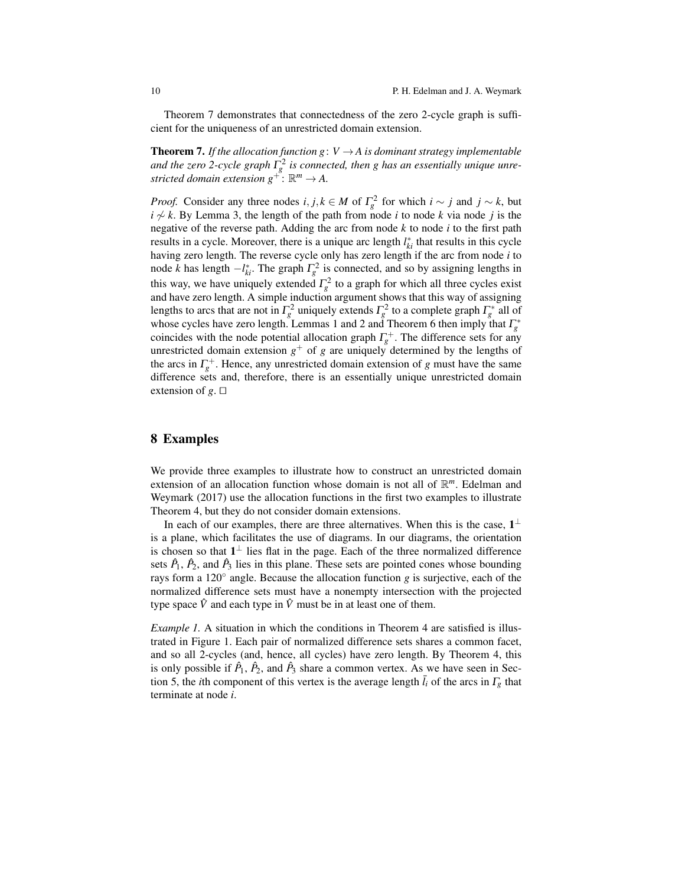Theorem 7 demonstrates that connectedness of the zero 2-cycle graph is sufficient for the uniqueness of an unrestricted domain extension.

**Theorem 7.** If the allocation function  $g: V \to A$  is dominant strategy implementable and the zero 2-cycle graph  $\Gamma_g^2$  is connected, then g has an essentially unique unrestricted domain extension  $g^{+}$  :  $\mathbb{R}^m \rightarrow A$ .

*Proof.* Consider any three nodes *i*, *j*,  $k \in M$  of  $\Gamma_g^2$  for which  $i \sim j$  and  $j \sim k$ , but *i* 6∼ *k*. By Lemma 3, the length of the path from node *i* to node *k* via node *j* is the negative of the reverse path. Adding the arc from node *k* to node *i* to the first path results in a cycle. Moreover, there is a unique arc length  $l_{ki}^*$  that results in this cycle having zero length. The reverse cycle only has zero length if the arc from node *i* to node *k* has length  $-l_{ki}^*$ . The graph  $\Gamma_g^2$  is connected, and so by assigning lengths in this way, we have uniquely extended  $\Gamma_g^2$  to a graph for which all three cycles exist and have zero length. A simple induction argument shows that this way of assigning lengths to arcs that are not in  $\Gamma_g^2$  uniquely extends  $\Gamma_g^2$  to a complete graph  $\Gamma_g^*$  all of whose cycles have zero length. Lemmas 1 and 2 and Theorem 6 then imply that  $\Gamma_g^*$ coincides with the node potential allocation graph  $\Gamma_g^+$ . The difference sets for any unrestricted domain extension  $g^+$  of  $g$  are uniquely determined by the lengths of the arcs in  $\Gamma_g^+$ . Hence, any unrestricted domain extension of *g* must have the same difference sets and, therefore, there is an essentially unique unrestricted domain extension of *g*. ⊓⊔

### 8 Examples

We provide three examples to illustrate how to construct an unrestricted domain extension of an allocation function whose domain is not all of R *<sup>m</sup>*. Edelman and Weymark (2017) use the allocation functions in the first two examples to illustrate Theorem 4, but they do not consider domain extensions.

In each of our examples, there are three alternatives. When this is the case,  $1^{\perp}$ is a plane, which facilitates the use of diagrams. In our diagrams, the orientation is chosen so that  $1^{\perp}$  lies flat in the page. Each of the three normalized difference sets  $\hat{P}_1$ ,  $\hat{P}_2$ , and  $\hat{P}_3$  lies in this plane. These sets are pointed cones whose bounding rays form a 120◦ angle. Because the allocation function *g* is surjective, each of the normalized difference sets must have a nonempty intersection with the projected type space  $\hat{V}$  and each type in  $\hat{V}$  must be in at least one of them.

*Example 1.* A situation in which the conditions in Theorem 4 are satisfied is illustrated in Figure 1. Each pair of normalized difference sets shares a common facet, and so all 2-cycles (and, hence, all cycles) have zero length. By Theorem 4, this is only possible if  $\hat{P}_1$ ,  $\hat{P}_2$ , and  $\hat{P}_3$  share a common vertex. As we have seen in Section 5, the *i*th component of this vertex is the average length  $l_i$  of the arcs in  $\Gamma_g$  that terminate at node *i*.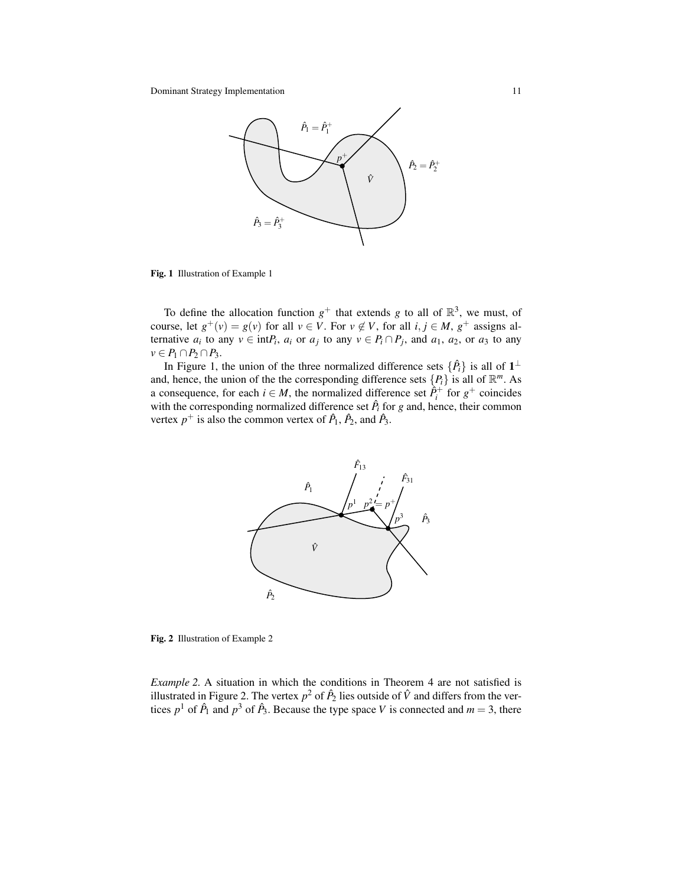

Fig. 1 Illustration of Example 1

To define the allocation function  $g^+$  that extends g to all of  $\mathbb{R}^3$ , we must, of course, let  $g^+(v) = g(v)$  for all  $v \in V$ . For  $v \notin V$ , for all  $i, j \in M$ ,  $g^+$  assigns alternative  $a_i$  to any  $v \in \text{int}P_i$ ,  $a_i$  or  $a_j$  to any  $v \in P_i \cap P_j$ , and  $a_1$ ,  $a_2$ , or  $a_3$  to any  $v \in P_1 \cap P_2 \cap P_3$ .

In Figure 1, the union of the three normalized difference sets  $\{\hat{P}_i\}$  is all of  $1^\perp$ and, hence, the union of the the corresponding difference sets  $\{P_i\}$  is all of  $\mathbb{R}^m$ . As a consequence, for each  $i \in M$ , the normalized difference set  $\hat{P}_i^+$  for  $g^+$  coincides with the corresponding normalized difference set  $\hat{P}_i$  for  $g$  and, hence, their common vertex  $p^+$  is also the common vertex of  $\hat{P}_1$ ,  $\hat{P}_2$ , and  $\hat{P}_3$ .



Fig. 2 Illustration of Example 2

*Example 2.* A situation in which the conditions in Theorem 4 are not satisfied is illustrated in Figure 2. The vertex  $p^2$  of  $\hat{P}_2$  lies outside of  $\hat{V}$  and differs from the vertices  $p^1$  of  $\hat{P}_1$  and  $p^3$  of  $\hat{P}_3$ . Because the type space *V* is connected and  $m = 3$ , there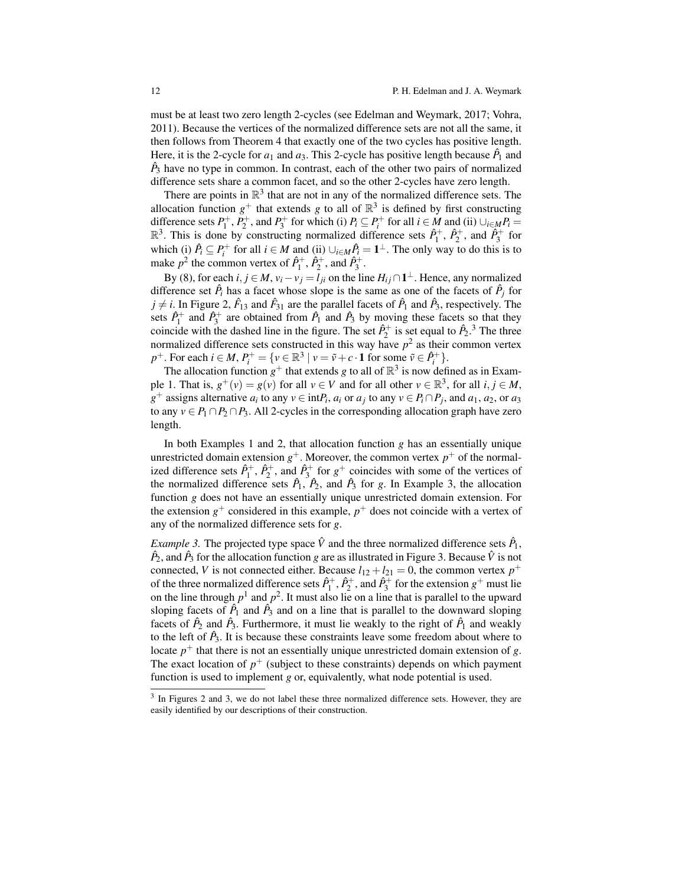must be at least two zero length 2-cycles (see Edelman and Weymark, 2017; Vohra, 2011). Because the vertices of the normalized difference sets are not all the same, it then follows from Theorem 4 that exactly one of the two cycles has positive length. Here, it is the 2-cycle for  $a_1$  and  $a_3$ . This 2-cycle has positive length because  $\hat{P}_1$  and  $\hat{P}_3$  have no type in common. In contrast, each of the other two pairs of normalized difference sets share a common facet, and so the other 2-cycles have zero length.

There are points in  $\mathbb{R}^3$  that are not in any of the normalized difference sets. The allocation function  $g^+$  that extends g to all of  $\mathbb{R}^3$  is defined by first constructing difference sets  $P_1^+, P_2^+$ , and  $P_3^+$  for which (i)  $P_i \subseteq P_i^+$  for all  $i \in M$  and (ii)  $\bigcup_{i \in M} P_i =$  $\mathbb{R}^3$ . This is done by constructing normalized difference sets  $\hat{P}_1^+$ ,  $\hat{P}_2^+$ , and  $\hat{P}_3^+$  for which (i)  $\hat{P}_i \subseteq P_i^+$  for all  $i \in M$  and (ii)  $\cup_{i \in M} \hat{P}_i = \mathbf{1}^\perp$ . The only way to do this is to make  $p^2$  the common vertex of  $\hat{P}_1^+$ ,  $\hat{P}_2^+$ , and  $\hat{P}_3^+$ .

By (8), for each  $i, j \in M$ ,  $v_i - v_j = l_{ji}$  on the line  $H_{ij} \cap \mathbf{1}^{\perp}$ . Hence, any normalized difference set  $\hat{P}_i$  has a facet whose slope is the same as one of the facets of  $\hat{P}_j$  for  $j \neq i$ . In Figure 2,  $\hat{F}_{13}$  and  $\hat{F}_{31}$  are the parallel facets of  $\hat{P}_1$  and  $\hat{P}_3$ , respectively. The sets  $\hat{P}_1^+$  and  $\hat{P}_3^+$  are obtained from  $\hat{P}_1$  and  $\hat{P}_3$  by moving these facets so that they coincide with the dashed line in the figure. The set  $\hat{P}_2^+$  is set equal to  $\hat{P}_2$ .<sup>3</sup> The three normalized difference sets constructed in this way have  $p<sup>2</sup>$  as their common vertex  $p^+$ . For each  $i \in M$ ,  $P_i^+ = \{v \in \mathbb{R}^3 \mid v = \tilde{v} + c \cdot \mathbf{1} \text{ for some } \tilde{v} \in \hat{P}_i^+ \}.$ 

The allocation function  $g^+$  that extends *g* to all of  $\mathbb{R}^3$  is now defined as in Example 1. That is,  $g^+(v) = g(v)$  for all  $v \in V$  and for all other  $v \in \mathbb{R}^3$ , for all  $i, j \in M$ ,  $g^+$  assigns alternative  $a_i$  to any  $v \in \text{int}P_i$ ,  $a_i$  or  $a_j$  to any  $v \in P_i \cap P_j$ , and  $a_1, a_2$ , or  $a_3$ to any  $v \in P_1 \cap P_2 \cap P_3$ . All 2-cycles in the corresponding allocation graph have zero length.

In both Examples 1 and 2, that allocation function *g* has an essentially unique unrestricted domain extension  $g^+$ . Moreover, the common vertex  $p^+$  of the normalized difference sets  $\hat{P}_1^+$ ,  $\hat{P}_2^+$ , and  $\hat{P}_3^+$  for  $g^+$  coincides with some of the vertices of the normalized difference sets  $\hat{P}_1$ ,  $\hat{P}_2$ , and  $\hat{P}_3$  for *g*. In Example 3, the allocation function *g* does not have an essentially unique unrestricted domain extension. For the extension  $g^+$  considered in this example,  $p^+$  does not coincide with a vertex of any of the normalized difference sets for *g*.

*Example 3*. The projected type space  $\hat{V}$  and the three normalized difference sets  $\hat{P}_1$ ,  $\hat{P}_2$ , and  $\hat{P}_3$  for the allocation function *g* are as illustrated in Figure 3. Because  $\hat{V}$  is not connected, *V* is not connected either. Because  $l_{12} + l_{21} = 0$ , the common vertex  $p^+$ of the three normalized difference sets  $\hat{P}_1^+$ ,  $\hat{P}_2^+$ , and  $\hat{P}_3^+$  for the extension  $g^+$  must lie on the line through  $p<sup>1</sup>$  and  $p<sup>2</sup>$ . It must also lie on a line that is parallel to the upward sloping facets of  $\hat{P}_1$  and  $\hat{P}_3$  and on a line that is parallel to the downward sloping facets of  $\hat{P}_2$  and  $\hat{P}_3$ . Furthermore, it must lie weakly to the right of  $\hat{P}_1$  and weakly to the left of  $\hat{P}_3$ . It is because these constraints leave some freedom about where to locate  $p^+$  that there is not an essentially unique unrestricted domain extension of *g*. The exact location of  $p^+$  (subject to these constraints) depends on which payment function is used to implement *g* or, equivalently, what node potential is used.

<sup>&</sup>lt;sup>3</sup> In Figures 2 and 3, we do not label these three normalized difference sets. However, they are easily identified by our descriptions of their construction.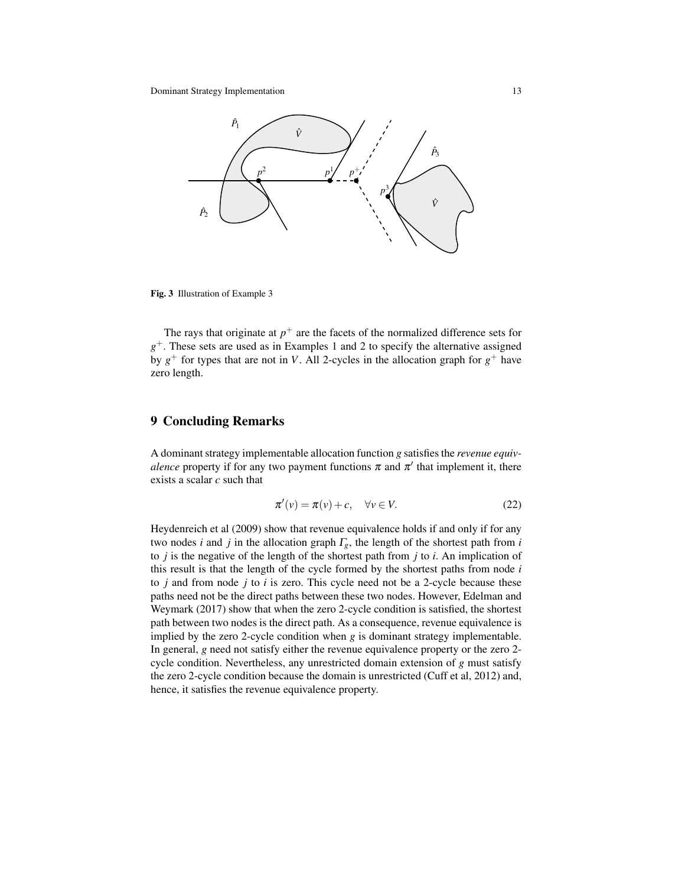Dominant Strategy Implementation 13



Fig. 3 Illustration of Example 3

The rays that originate at  $p^+$  are the facets of the normalized difference sets for *g* <sup>+</sup>. These sets are used as in Examples 1 and 2 to specify the alternative assigned by  $g^+$  for types that are not in *V*. All 2-cycles in the allocation graph for  $g^+$  have zero length.

# 9 Concluding Remarks

A dominant strategy implementable allocation function *g* satisfies the *revenue equivalence* property if for any two payment functions  $\pi$  and  $\pi'$  that implement it, there exists a scalar *c* such that

$$
\pi'(v) = \pi(v) + c, \quad \forall v \in V.
$$
 (22)

Heydenreich et al (2009) show that revenue equivalence holds if and only if for any two nodes *i* and *j* in the allocation graph  $\Gamma_g$ , the length of the shortest path from *i* to *j* is the negative of the length of the shortest path from *j* to *i*. An implication of this result is that the length of the cycle formed by the shortest paths from node *i* to *j* and from node *j* to *i* is zero. This cycle need not be a 2-cycle because these paths need not be the direct paths between these two nodes. However, Edelman and Weymark (2017) show that when the zero 2-cycle condition is satisfied, the shortest path between two nodes is the direct path. As a consequence, revenue equivalence is implied by the zero 2-cycle condition when *g* is dominant strategy implementable. In general, *g* need not satisfy either the revenue equivalence property or the zero 2 cycle condition. Nevertheless, any unrestricted domain extension of *g* must satisfy the zero 2-cycle condition because the domain is unrestricted (Cuff et al, 2012) and, hence, it satisfies the revenue equivalence property.